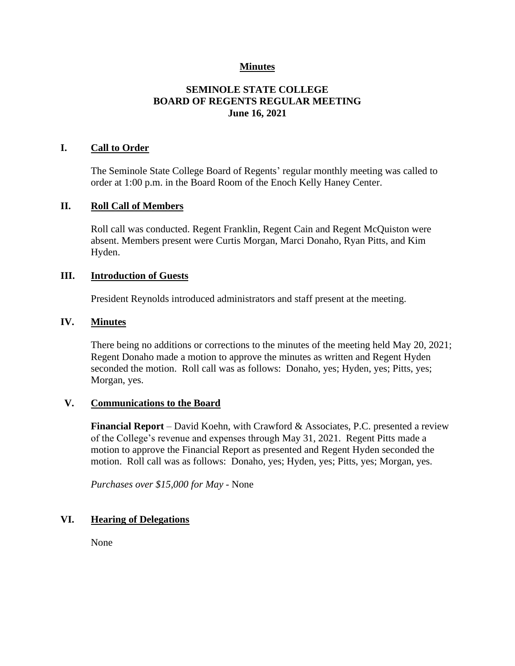# **Minutes**

# **SEMINOLE STATE COLLEGE BOARD OF REGENTS REGULAR MEETING June 16, 2021**

## **I. Call to Order**

The Seminole State College Board of Regents' regular monthly meeting was called to order at 1:00 p.m. in the Board Room of the Enoch Kelly Haney Center.

#### **II. Roll Call of Members**

Roll call was conducted. Regent Franklin, Regent Cain and Regent McQuiston were absent. Members present were Curtis Morgan, Marci Donaho, Ryan Pitts, and Kim Hyden.

## **III. Introduction of Guests**

President Reynolds introduced administrators and staff present at the meeting.

#### **IV. Minutes**

There being no additions or corrections to the minutes of the meeting held May 20, 2021; Regent Donaho made a motion to approve the minutes as written and Regent Hyden seconded the motion. Roll call was as follows: Donaho, yes; Hyden, yes; Pitts, yes; Morgan, yes.

#### **V. Communications to the Board**

**Financial Report** – David Koehn, with Crawford & Associates, P.C. presented a review of the College's revenue and expenses through May 31, 2021. Regent Pitts made a motion to approve the Financial Report as presented and Regent Hyden seconded the motion. Roll call was as follows: Donaho, yes; Hyden, yes; Pitts, yes; Morgan, yes.

*Purchases over \$15,000 for May -* None

## **VI. Hearing of Delegations**

None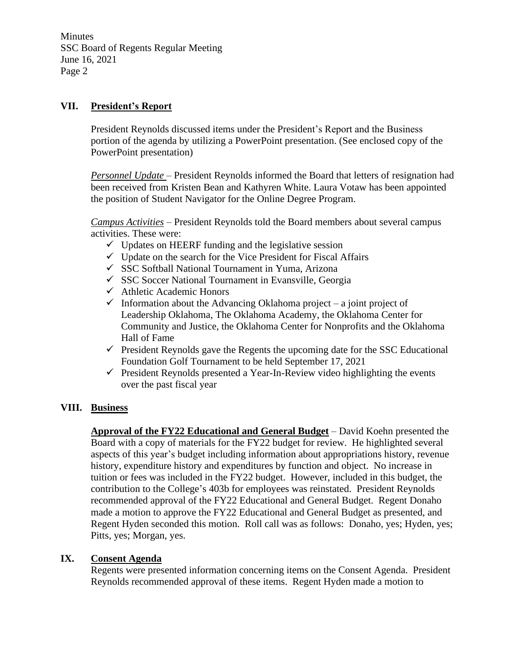Minutes SSC Board of Regents Regular Meeting June 16, 2021 Page 2

# **VII. President's Report**

President Reynolds discussed items under the President's Report and the Business portion of the agenda by utilizing a PowerPoint presentation. (See enclosed copy of the PowerPoint presentation)

*Personnel Update* – President Reynolds informed the Board that letters of resignation had been received from Kristen Bean and Kathyren White. Laura Votaw has been appointed the position of Student Navigator for the Online Degree Program.

*Campus Activities* – President Reynolds told the Board members about several campus activities. These were:

- $\checkmark$  Updates on HEERF funding and the legislative session
- $\checkmark$  Update on the search for the Vice President for Fiscal Affairs
- ✓ SSC Softball National Tournament in Yuma, Arizona
- ✓ SSC Soccer National Tournament in Evansville, Georgia
- ✓ Athletic Academic Honors
- $\checkmark$  Information about the Advancing Oklahoma project a joint project of Leadership Oklahoma, The Oklahoma Academy, the Oklahoma Center for Community and Justice, the Oklahoma Center for Nonprofits and the Oklahoma Hall of Fame
- $\checkmark$  President Reynolds gave the Regents the upcoming date for the SSC Educational Foundation Golf Tournament to be held September 17, 2021
- $\checkmark$  President Reynolds presented a Year-In-Review video highlighting the events over the past fiscal year

## **VIII. Business**

**Approval of the FY22 Educational and General Budget** – David Koehn presented the Board with a copy of materials for the FY22 budget for review. He highlighted several aspects of this year's budget including information about appropriations history, revenue history, expenditure history and expenditures by function and object. No increase in tuition or fees was included in the FY22 budget. However, included in this budget, the contribution to the College's 403b for employees was reinstated. President Reynolds recommended approval of the FY22 Educational and General Budget. Regent Donaho made a motion to approve the FY22 Educational and General Budget as presented, and Regent Hyden seconded this motion. Roll call was as follows: Donaho, yes; Hyden, yes; Pitts, yes; Morgan, yes.

## **IX. Consent Agenda**

Regents were presented information concerning items on the Consent Agenda. President Reynolds recommended approval of these items. Regent Hyden made a motion to